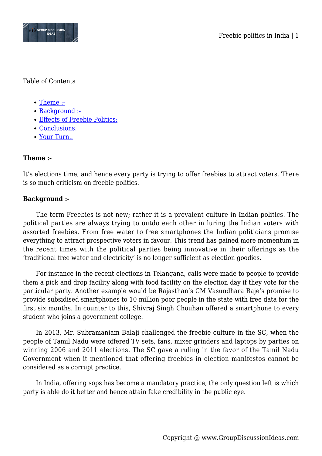

### Table of Contents

- [Theme :-](#page--1-0)
- [Background :-](#page--1-0)
- [Effects of Freebie Politics:](#page--1-0)
- [Conclusions:](#page--1-0)
- [Your Turn..](#page--1-0)

# **Theme :-**

It's elections time, and hence every party is trying to offer freebies to attract voters. There is so much criticism on freebie politics.

# **Background :-**

The term Freebies is not new; rather it is a prevalent culture in Indian politics. The political parties are always trying to outdo each other in luring the Indian voters with assorted freebies. From free water to free smartphones the Indian politicians promise everything to attract prospective voters in favour. This trend has gained more momentum in the recent times with the political parties being innovative in their offerings as the 'traditional free water and electricity' is no longer sufficient as election goodies.

For instance in the recent elections in Telangana, calls were made to people to provide them a pick and drop facility along with food facility on the election day if they vote for the particular party. Another example would be Rajasthan's CM Vasundhara Raje's promise to provide subsidised smartphones to 10 million poor people in the state with free data for the first six months. In counter to this, Shivraj Singh Chouhan offered a smartphone to every student who joins a government college.

In 2013, Mr. Subramaniam Balaji challenged the freebie culture in the SC, when the people of Tamil Nadu were offered TV sets, fans, mixer grinders and laptops by parties on winning 2006 and 2011 elections. The SC gave a ruling in the favor of the Tamil Nadu Government when it mentioned that offering freebies in election manifestos cannot be considered as a corrupt practice.

In India, offering sops has become a mandatory practice, the only question left is which party is able do it better and hence attain fake credibility in the public eye.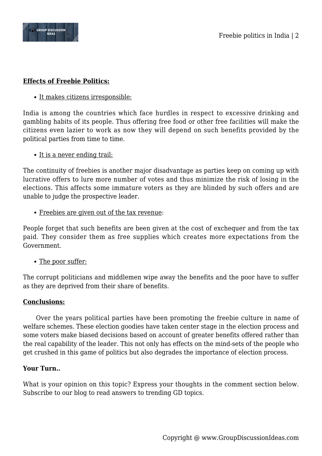

## **Effects of Freebie Politics:**

• It makes citizens irresponsible:

India is among the countries which face hurdles in respect to excessive drinking and gambling habits of its people. Thus offering free food or other free facilities will make the citizens even lazier to work as now they will depend on such benefits provided by the political parties from time to time.

• It is a never ending trail:

The continuity of freebies is another major disadvantage as parties keep on coming up with lucrative offers to lure more number of votes and thus minimize the risk of losing in the elections. This affects some immature voters as they are blinded by such offers and are unable to judge the prospective leader.

Freebies are given out of the tax revenue:

People forget that such benefits are been given at the cost of exchequer and from the tax paid. They consider them as free supplies which creates more expectations from the Government.

• The poor suffer:

The corrupt politicians and middlemen wipe away the benefits and the poor have to suffer as they are deprived from their share of benefits.

### **Conclusions:**

Over the years political parties have been promoting the freebie culture in name of welfare schemes. These election goodies have taken center stage in the election process and some voters make biased decisions based on account of greater benefits offered rather than the real capability of the leader. This not only has effects on the mind-sets of the people who get crushed in this game of politics but also degrades the importance of election process.

### **Your Turn..**

What is your opinion on this topic? Express your thoughts in the comment section below. Subscribe to our blog to read answers to trending GD topics.